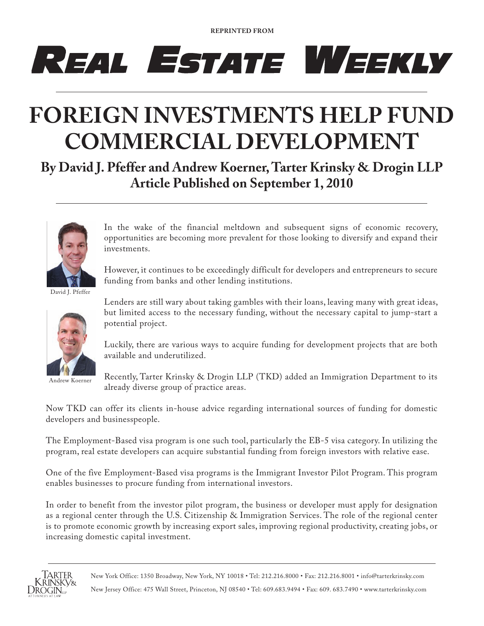**REPRINTED FROM**

## REAL ESTATE WEEKLY

## **FOREIGN INVESTMENTS HELP FUND COMMERCIAL DEVELOPMENT**

**By David J. Pfeffer and Andrew Koerner, Tarter Krinsky & Drogin LLP Article Published on September 1, 2010**



In the wake of the financial meltdown and subsequent signs of economic recovery, opportunities are becoming more prevalent for those looking to diversify and expand their investments.

However, it continues to be exceedingly difficult for developers and entrepreneurs to secure funding from banks and other lending institutions.

David J. Pfeffer



Andrew Koerner

Lenders are still wary about taking gambles with their loans, leaving many with great ideas, but limited access to the necessary funding, without the necessary capital to jump-start a potential project.

Luckily, there are various ways to acquire funding for development projects that are both available and underutilized.

Recently, Tarter Krinsky & Drogin LLP (TKD) added an Immigration Department to its already diverse group of practice areas.

Now TKD can offer its clients in-house advice regarding international sources of funding for domestic developers and businesspeople.

The Employment-Based visa program is one such tool, particularly the EB-5 visa category. In utilizing the program, real estate developers can acquire substantial funding from foreign investors with relative ease.

One of the five Employment-Based visa programs is the Immigrant Investor Pilot Program. This program enables businesses to procure funding from international investors.

In order to benefit from the investor pilot program, the business or developer must apply for designation as a regional center through the U.S. Citizenship & Immigration Services. The role of the regional center is to promote economic growth by increasing export sales, improving regional productivity, creating jobs, or increasing domestic capital investment.